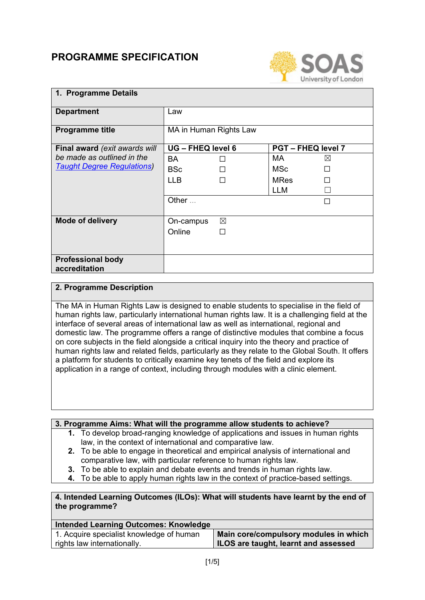# **PROGRAMME SPECIFICATION**



| 1. Programme Details                      |                   |                        |                           |             |
|-------------------------------------------|-------------------|------------------------|---------------------------|-------------|
| <b>Department</b>                         | Law               |                        |                           |             |
| <b>Programme title</b>                    |                   | MA in Human Rights Law |                           |             |
| Final award (exit awards will             | UG - FHEQ level 6 |                        | <b>PGT - FHEQ level 7</b> |             |
| be made as outlined in the                | <b>BA</b>         |                        | MA.                       | $\boxtimes$ |
| <b>Taught Degree Regulations)</b>         | <b>BSc</b>        |                        | MSc                       | П           |
|                                           | <b>LLB</b>        |                        | <b>MRes</b>               |             |
|                                           |                   |                        | LLM                       |             |
|                                           | Other $\ldots$    |                        |                           | П           |
|                                           |                   |                        |                           |             |
| <b>Mode of delivery</b>                   | On-campus         | $\boxtimes$            |                           |             |
|                                           | Online            | П                      |                           |             |
|                                           |                   |                        |                           |             |
| <b>Professional body</b><br>accreditation |                   |                        |                           |             |

## **2. Programme Description**

The MA in Human Rights Law is designed to enable students to specialise in the field of human rights law, particularly international human rights law. It is a challenging field at the interface of several areas of international law as well as international, regional and domestic law. The programme offers a range of distinctive modules that combine a focus on core subjects in the field alongside a critical inquiry into the theory and practice of human rights law and related fields, particularly as they relate to the Global South. It offers a platform for students to critically examine key tenets of the field and explore its application in a range of context, including through modules with a clinic element.

## **3. Programme Aims: What will the programme allow students to achieve?**

- **1.** To develop broad-ranging knowledge of applications and issues in human rights law, in the context of international and comparative law.
- **2.** To be able to engage in theoretical and empirical analysis of international and comparative law, with particular reference to human rights law.
- **3.** To be able to explain and debate events and trends in human rights law.
- **4.** To be able to apply human rights law in the context of practice-based settings.

## **4. Intended Learning Outcomes (ILOs): What will students have learnt by the end of the programme?**

| <b>Intended Learning Outcomes: Knowledge</b> |                                       |
|----------------------------------------------|---------------------------------------|
| 1. Acquire specialist knowledge of human     | Main core/compulsory modules in which |
| rights law internationally.                  | ILOS are taught, learnt and assessed  |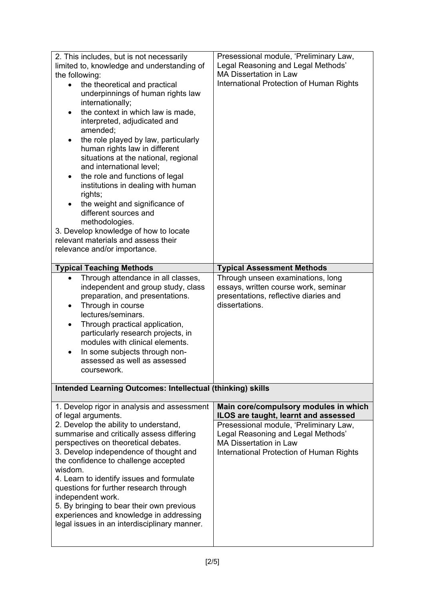| 2. This includes, but is not necessarily<br>limited to, knowledge and understanding of<br>the following:<br>the theoretical and practical<br>$\bullet$<br>underpinnings of human rights law<br>internationally;<br>the context in which law is made,<br>$\bullet$<br>interpreted, adjudicated and<br>amended;<br>the role played by law, particularly<br>human rights law in different<br>situations at the national, regional<br>and international level;<br>the role and functions of legal<br>institutions in dealing with human<br>rights;<br>the weight and significance of<br>different sources and<br>methodologies.<br>3. Develop knowledge of how to locate<br>relevant materials and assess their<br>relevance and/or importance. | Presessional module, 'Preliminary Law,<br>Legal Reasoning and Legal Methods'<br><b>MA Dissertation in Law</b><br>International Protection of Human Rights                                                                                  |
|---------------------------------------------------------------------------------------------------------------------------------------------------------------------------------------------------------------------------------------------------------------------------------------------------------------------------------------------------------------------------------------------------------------------------------------------------------------------------------------------------------------------------------------------------------------------------------------------------------------------------------------------------------------------------------------------------------------------------------------------|--------------------------------------------------------------------------------------------------------------------------------------------------------------------------------------------------------------------------------------------|
| <b>Typical Teaching Methods</b>                                                                                                                                                                                                                                                                                                                                                                                                                                                                                                                                                                                                                                                                                                             | <b>Typical Assessment Methods</b>                                                                                                                                                                                                          |
| Through attendance in all classes,<br>independent and group study, class<br>preparation, and presentations.<br>Through in course<br>٠<br>lectures/seminars.<br>Through practical application,<br>particularly research projects, in<br>modules with clinical elements.<br>In some subjects through non-<br>assessed as well as assessed<br>coursework.                                                                                                                                                                                                                                                                                                                                                                                      | Through unseen examinations, long<br>essays, written course work, seminar<br>presentations, reflective diaries and<br>dissertations.                                                                                                       |
| Intended Learning Outcomes: Intellectual (thinking) skills                                                                                                                                                                                                                                                                                                                                                                                                                                                                                                                                                                                                                                                                                  |                                                                                                                                                                                                                                            |
| 1. Develop rigor in analysis and assessment<br>of legal arguments.<br>2. Develop the ability to understand,<br>summarise and critically assess differing<br>perspectives on theoretical debates.<br>3. Develop independence of thought and<br>the confidence to challenge accepted<br>wisdom.<br>4. Learn to identify issues and formulate<br>questions for further research through<br>independent work.<br>5. By bringing to bear their own previous<br>experiences and knowledge in addressing<br>legal issues in an interdisciplinary manner.                                                                                                                                                                                           | Main core/compulsory modules in which<br>ILOS are taught, learnt and assessed<br>Presessional module, 'Preliminary Law,<br>Legal Reasoning and Legal Methods'<br><b>MA Dissertation in Law</b><br>International Protection of Human Rights |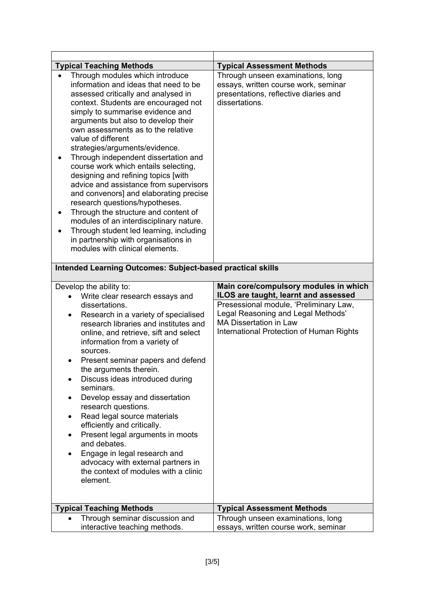| <b>Typical Teaching Methods</b>                                                                                                                                                                                                                                                                                                                                                                                                                                                                                                                                                                                                                                                                                                                                                             | <b>Typical Assessment Methods</b>                                                                                                                         |  |
|---------------------------------------------------------------------------------------------------------------------------------------------------------------------------------------------------------------------------------------------------------------------------------------------------------------------------------------------------------------------------------------------------------------------------------------------------------------------------------------------------------------------------------------------------------------------------------------------------------------------------------------------------------------------------------------------------------------------------------------------------------------------------------------------|-----------------------------------------------------------------------------------------------------------------------------------------------------------|--|
| Through modules which introduce<br>information and ideas that need to be<br>assessed critically and analysed in<br>context. Students are encouraged not<br>simply to summarise evidence and<br>arguments but also to develop their<br>own assessments as to the relative<br>value of different<br>strategies/arguments/evidence.<br>Through independent dissertation and<br>course work which entails selecting,<br>designing and refining topics [with<br>advice and assistance from supervisors<br>and convenors] and elaborating precise<br>research questions/hypotheses.<br>Through the structure and content of<br>٠<br>modules of an interdisciplinary nature.<br>Through student led learning, including<br>in partnership with organisations in<br>modules with clinical elements. | Through unseen examinations, long<br>essays, written course work, seminar<br>presentations, reflective diaries and<br>dissertations.                      |  |
| <b>Intended Learning Outcomes: Subject-based practical skills</b>                                                                                                                                                                                                                                                                                                                                                                                                                                                                                                                                                                                                                                                                                                                           |                                                                                                                                                           |  |
| Develop the ability to:<br>Write clear research essays and<br>$\bullet$                                                                                                                                                                                                                                                                                                                                                                                                                                                                                                                                                                                                                                                                                                                     | Main core/compulsory modules in which<br>ILOS are taught, learnt and assessed                                                                             |  |
| dissertations.<br>Research in a variety of specialised<br>٠<br>research libraries and institutes and<br>online, and retrieve, sift and select<br>information from a variety of<br>sources.<br>Present seminar papers and defend<br>the arguments therein.<br>Discuss ideas introduced during<br>seminars.<br>Develop essay and dissertation<br>research questions.<br>Read legal source materials<br>$\bullet$<br>efficiently and critically.<br>Present legal arguments in moots<br>and debates.<br>Engage in legal research and<br>advocacy with external partners in<br>the context of modules with a clinic<br>element.                                                                                                                                                                 | Presessional module, 'Preliminary Law,<br>Legal Reasoning and Legal Methods'<br><b>MA Dissertation in Law</b><br>International Protection of Human Rights |  |
| <b>Typical Teaching Methods</b>                                                                                                                                                                                                                                                                                                                                                                                                                                                                                                                                                                                                                                                                                                                                                             | <b>Typical Assessment Methods</b>                                                                                                                         |  |
| Through seminar discussion and<br>interactive teaching methods.                                                                                                                                                                                                                                                                                                                                                                                                                                                                                                                                                                                                                                                                                                                             | Through unseen examinations, long<br>essays, written course work, seminar                                                                                 |  |

 $\overline{\phantom{a}}$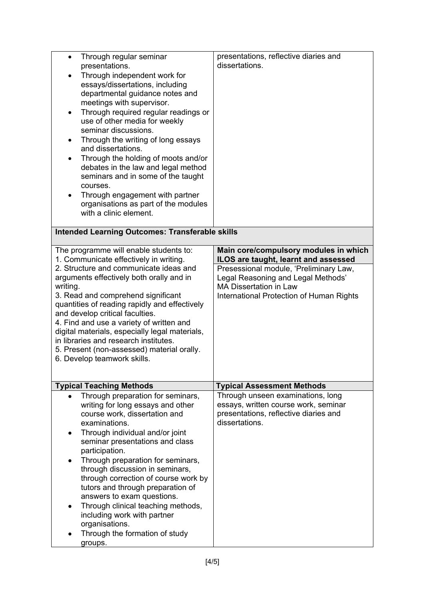| Through regular seminar<br>$\bullet$<br>presentations.<br>Through independent work for<br>essays/dissertations, including<br>departmental guidance notes and<br>meetings with supervisor.<br>Through required regular readings or<br>$\bullet$<br>use of other media for weekly<br>seminar discussions.<br>Through the writing of long essays<br>and dissertations.<br>Through the holding of moots and/or<br>debates in the law and legal method<br>seminars and in some of the taught<br>courses.<br>Through engagement with partner<br>organisations as part of the modules<br>with a clinic element. | presentations, reflective diaries and<br>dissertations.                                                                                                   |  |  |
|----------------------------------------------------------------------------------------------------------------------------------------------------------------------------------------------------------------------------------------------------------------------------------------------------------------------------------------------------------------------------------------------------------------------------------------------------------------------------------------------------------------------------------------------------------------------------------------------------------|-----------------------------------------------------------------------------------------------------------------------------------------------------------|--|--|
| <b>Intended Learning Outcomes: Transferable skills</b>                                                                                                                                                                                                                                                                                                                                                                                                                                                                                                                                                   |                                                                                                                                                           |  |  |
| The programme will enable students to:<br>1. Communicate effectively in writing.                                                                                                                                                                                                                                                                                                                                                                                                                                                                                                                         | Main core/compulsory modules in which<br>ILOS are taught, learnt and assessed                                                                             |  |  |
| 2. Structure and communicate ideas and<br>arguments effectively both orally and in<br>writing.<br>3. Read and comprehend significant<br>quantities of reading rapidly and effectively<br>and develop critical faculties.<br>4. Find and use a variety of written and<br>digital materials, especially legal materials,<br>in libraries and research institutes.<br>5. Present (non-assessed) material orally.<br>6. Develop teamwork skills.                                                                                                                                                             | Presessional module, 'Preliminary Law,<br>Legal Reasoning and Legal Methods'<br><b>MA Dissertation in Law</b><br>International Protection of Human Rights |  |  |
| <b>Typical Teaching Methods</b>                                                                                                                                                                                                                                                                                                                                                                                                                                                                                                                                                                          | <b>Typical Assessment Methods</b>                                                                                                                         |  |  |
| Through preparation for seminars,<br>writing for long essays and other<br>course work, dissertation and<br>examinations.<br>Through individual and/or joint<br>٠<br>seminar presentations and class<br>participation.<br>Through preparation for seminars,<br>through discussion in seminars,<br>through correction of course work by<br>tutors and through preparation of<br>answers to exam questions.<br>Through clinical teaching methods,<br>including work with partner<br>organisations.<br>Through the formation of study<br>groups.                                                             | Through unseen examinations, long<br>essays, written course work, seminar<br>presentations, reflective diaries and<br>dissertations.                      |  |  |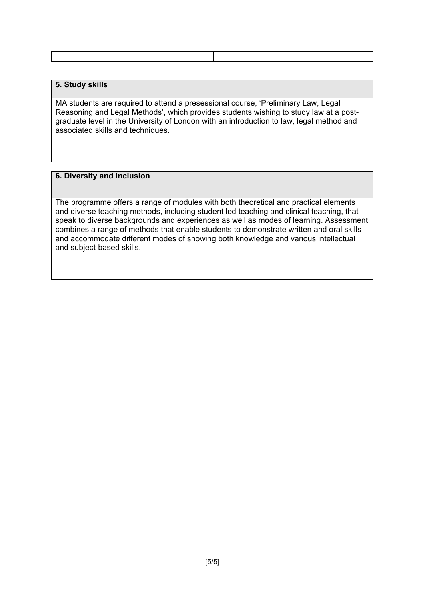## **5. Study skills**

MA students are required to attend a presessional course, 'Preliminary Law, Legal Reasoning and Legal Methods', which provides students wishing to study law at a postgraduate level in the University of London with an introduction to law, legal method and associated skills and techniques.

### **6. Diversity and inclusion**

The programme offers a range of modules with both theoretical and practical elements and diverse teaching methods, including student led teaching and clinical teaching, that speak to diverse backgrounds and experiences as well as modes of learning. Assessment combines a range of methods that enable students to demonstrate written and oral skills and accommodate different modes of showing both knowledge and various intellectual and subject-based skills.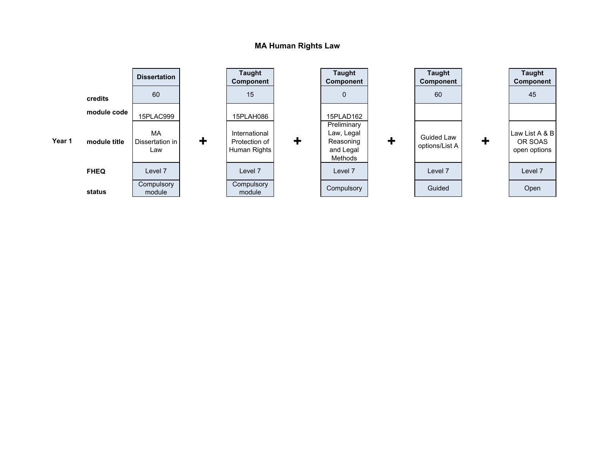### **MA Human Rights Law**

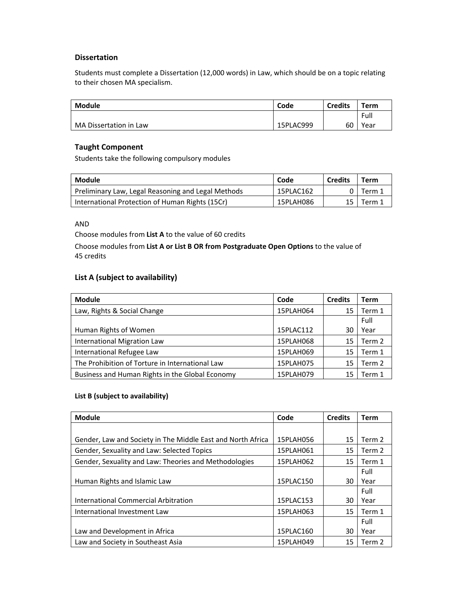#### **Dissertation**

Students must complete a Dissertation (12,000 words) in Law, which should be on a topic relating to their chosen MA specialism.

| <b>Module</b>          | Code      | <b>Credits</b> | Term |
|------------------------|-----------|----------------|------|
|                        |           |                | Full |
| MA Dissertation in Law | 15PLAC999 | 60             | Year |

#### **Taught Component**

Students take the following compulsory modules

| Module                                             | Code      | <b>Credits</b> | Term   |
|----------------------------------------------------|-----------|----------------|--------|
| Preliminary Law, Legal Reasoning and Legal Methods | 15PLAC162 |                | Term 1 |
| International Protection of Human Rights (15Cr)    | 15PLAH086 | 15             | Term 1 |

AND

Choose modules from **List A** to the value of 60 credits

Choose modules from **List A or List B OR from Postgraduate Open Options** to the value of 45 credits

# **List A (subject to availability)**

| <b>Module</b>                                   | Code      | <b>Credits</b> | <b>Term</b> |
|-------------------------------------------------|-----------|----------------|-------------|
| Law, Rights & Social Change                     | 15PLAH064 | 15             | Term 1      |
|                                                 |           |                | Full        |
| Human Rights of Women                           | 15PLAC112 | 30             | Year        |
| International Migration Law                     | 15PLAH068 | 15             | Term 2      |
| International Refugee Law                       | 15PLAH069 | 15             | Term 1      |
| The Prohibition of Torture in International Law | 15PLAH075 | 15             | Term 2      |
| Business and Human Rights in the Global Economy | 15PLAH079 | 15             | Term 1      |

#### **List B (subject to availability)**

| <b>Module</b>                                               | Code      | <b>Credits</b> | <b>Term</b> |
|-------------------------------------------------------------|-----------|----------------|-------------|
|                                                             |           |                |             |
| Gender, Law and Society in The Middle East and North Africa | 15PLAH056 | 15             | Term 2      |
| Gender, Sexuality and Law: Selected Topics                  | 15PLAH061 | 15             | Term 2      |
| Gender, Sexuality and Law: Theories and Methodologies       | 15PLAH062 | 15             | Term 1      |
|                                                             |           |                | Full        |
| Human Rights and Islamic Law                                | 15PLAC150 | 30             | Year        |
|                                                             |           |                | Full        |
| International Commercial Arbitration                        | 15PLAC153 | 30             | Year        |
| International Investment Law                                | 15PLAH063 | 15             | Term 1      |
|                                                             |           |                | Full        |
| Law and Development in Africa                               | 15PLAC160 | 30             | Year        |
| Law and Society in Southeast Asia                           | 15PLAH049 | 15             | Term 2      |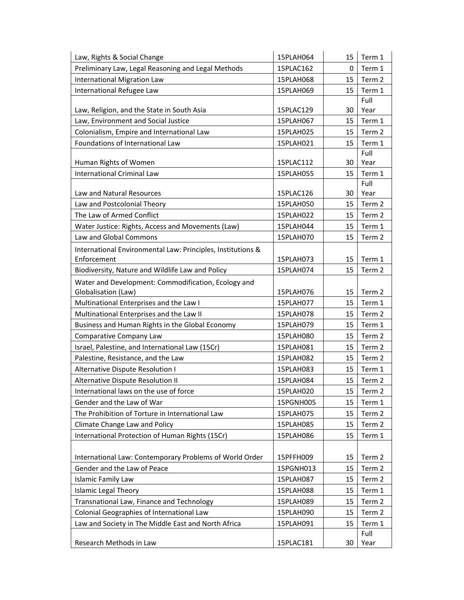| Law, Rights & Social Change                                 | 15PLAH064 | 15 | Term 1         |
|-------------------------------------------------------------|-----------|----|----------------|
| Preliminary Law, Legal Reasoning and Legal Methods          | 15PLAC162 | 0  | Term 1         |
| <b>International Migration Law</b>                          | 15PLAH068 | 15 | Term 2         |
| International Refugee Law                                   | 15PLAH069 | 15 | Term 1         |
|                                                             |           |    | Full           |
| Law, Religion, and the State in South Asia                  | 15PLAC129 | 30 | Year           |
| Law, Environment and Social Justice                         | 15PLAH067 | 15 | Term 1         |
| Colonialism, Empire and International Law                   | 15PLAH025 | 15 | Term 2         |
| Foundations of International Law                            | 15PLAH021 | 15 | Term 1         |
|                                                             |           |    | Full           |
| Human Rights of Women                                       | 15PLAC112 | 30 | Year           |
| <b>International Criminal Law</b>                           | 15PLAH055 | 15 | Term 1<br>Full |
| Law and Natural Resources                                   | 15PLAC126 | 30 | Year           |
| Law and Postcolonial Theory                                 | 15PLAH050 | 15 | Term 2         |
| The Law of Armed Conflict                                   | 15PLAH022 | 15 | Term 2         |
| Water Justice: Rights, Access and Movements (Law)           | 15PLAH044 | 15 | Term 1         |
| Law and Global Commons                                      | 15PLAH070 | 15 | Term 2         |
| International Environmental Law: Principles, Institutions & |           |    |                |
| Enforcement                                                 | 15PLAH073 | 15 | Term 1         |
| Biodiversity, Nature and Wildlife Law and Policy            | 15PLAH074 | 15 | Term 2         |
| Water and Development: Commodification, Ecology and         |           |    |                |
| Globalisation (Law)                                         | 15PLAH076 | 15 | Term 2         |
| Multinational Enterprises and the Law I                     | 15PLAH077 | 15 | Term 1         |
| Multinational Enterprises and the Law II                    | 15PLAH078 | 15 | Term 2         |
| Business and Human Rights in the Global Economy             | 15PLAH079 | 15 | Term 1         |
| Comparative Company Law                                     | 15PLAH080 | 15 | Term 2         |
| Israel, Palestine, and International Law (15Cr)             | 15PLAH081 | 15 | Term 2         |
| Palestine, Resistance, and the Law                          | 15PLAH082 | 15 | Term 2         |
| <b>Alternative Dispute Resolution I</b>                     | 15PLAH083 | 15 | Term 1         |
| Alternative Dispute Resolution II                           | 15PLAH084 | 15 | Term 2         |
| International laws on the use of force                      | 15PLAH020 | 15 | Term 2         |
| Gender and the Law of War                                   | 15PGNH005 | 15 | Term 1         |
| The Prohibition of Torture in International Law             | 15PLAH075 | 15 | Term 2         |
| Climate Change Law and Policy                               | 15PLAH085 | 15 | Term 2         |
| International Protection of Human Rights (15Cr)             | 15PLAH086 | 15 | Term 1         |
|                                                             |           |    |                |
| International Law: Contemporary Problems of World Order     | 15PFFH009 | 15 | Term 2         |
| Gender and the Law of Peace                                 | 15PGNH013 | 15 | Term 2         |
| <b>Islamic Family Law</b>                                   | 15PLAH087 | 15 | Term 2         |
| <b>Islamic Legal Theory</b>                                 | 15PLAH088 | 15 | Term 1         |
| Transnational Law, Finance and Technology                   | 15PLAH089 | 15 | Term 2         |
| Colonial Geographies of International Law                   | 15PLAH090 | 15 | Term 2         |
| Law and Society in The Middle East and North Africa         | 15PLAH091 | 15 | Term 1         |
|                                                             |           |    | Full           |
| Research Methods in Law                                     | 15PLAC181 | 30 | Year           |